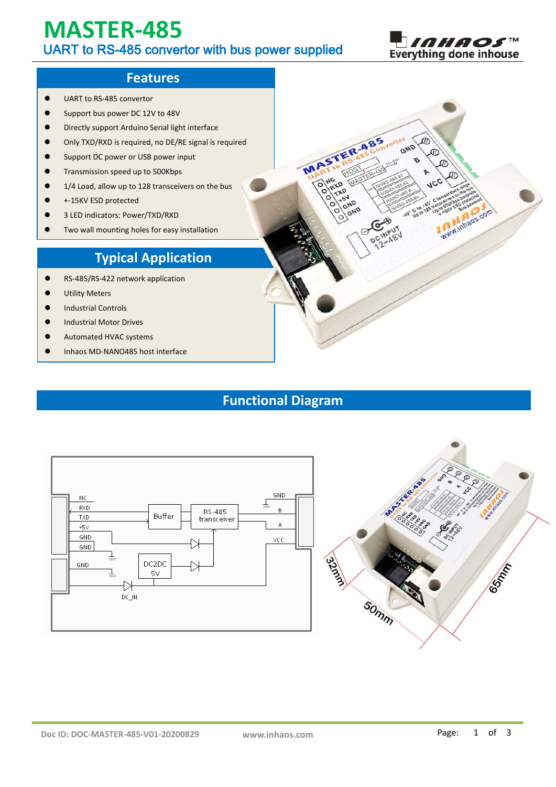# **MASTER-485** UART to RS-485 convertor with bus power supplied



**MANUTES COM** 

 $\sqrt{\pi}$ 

GND

 $0.5$ 

### **Features**

- UART to RS-485 convertor
- **Support bus power DC 12V to 48V**
- Directly support Arduino Serial light interface
- Only TXD/RXD is required, no DE/RE signal is required
- **Support DC power or USB power input**
- **•** Transmission speed up to 500Kbps
- 1/4 Load, allow up to 128 transceivers on the bus
- +-15KV ESD protected
- 3 LED indicators: Power/TXD/RXD
- Two wall mounting holes for easy installation

# **Typical Application**

- RS-485/RS-422 network application
- Utility Meters
- Industrial Controls
- $\bullet$  Industrial Motor Drives
- Automated HVAC systems
- Inhaos MD-NANO485 host interface

# **Functional Diagram**

MARTISTER-485



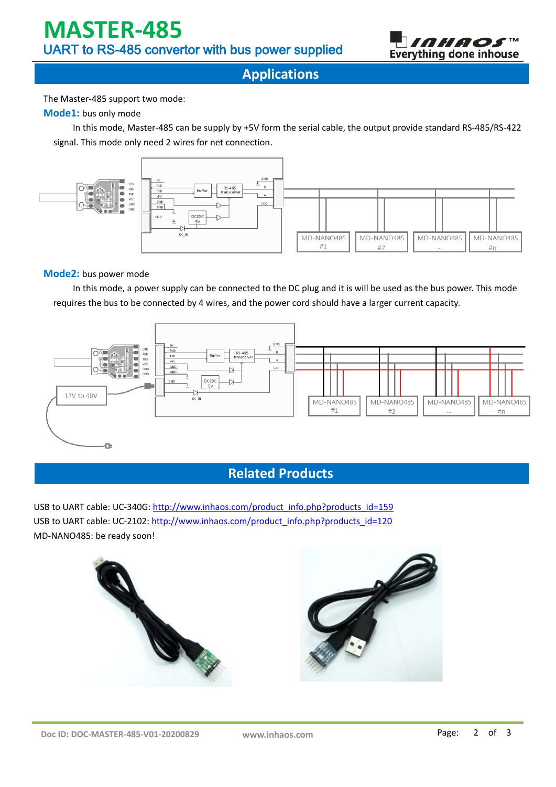

**Applications**

The Master-485 support two mode:

#### **Mode1:** bus only mode

In this mode, Master-485 can be supply by +5V form the serial cable, the output provide standard RS-485/RS-422 signal. This mode only need 2 wires for net connection.



#### **Mode2:** bus power mode

In this mode, a power supply can be connected to the DC plug and it is will be used as the bus power. This mode requires the bus to be connected by 4 wires, and the power cord should have a larger current capacity.



## **Related Products**

USB to UART cable: UC-340G: [http://www.inhaos.com/product\\_info.php?products\\_id=159](http://www.inhaos.com/product_info.php?products_id=159) USB to UART cable: UC-2102: [http://www.inhaos.com/product\\_info.php?products\\_id=120](http://www.inhaos.com/product_info.php?products_id=120) MD-NANO485: be ready soon!